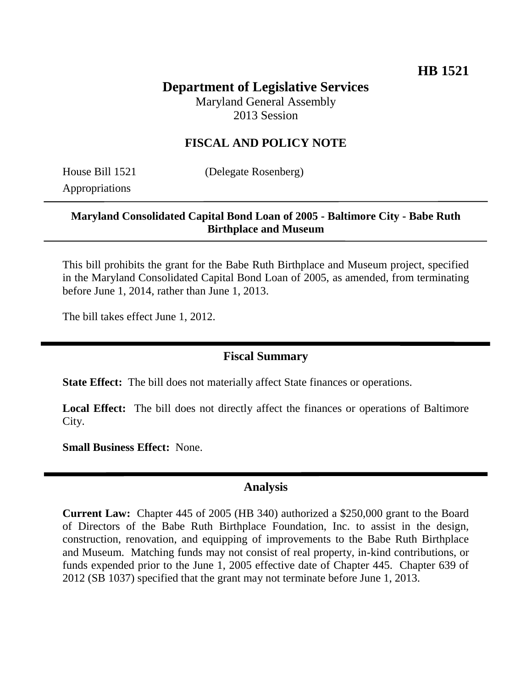# **Department of Legislative Services**

Maryland General Assembly 2013 Session

### **FISCAL AND POLICY NOTE**

Appropriations

House Bill 1521 (Delegate Rosenberg)

#### **Maryland Consolidated Capital Bond Loan of 2005 - Baltimore City - Babe Ruth Birthplace and Museum**

This bill prohibits the grant for the Babe Ruth Birthplace and Museum project, specified in the Maryland Consolidated Capital Bond Loan of 2005, as amended, from terminating before June 1, 2014, rather than June 1, 2013.

The bill takes effect June 1, 2012.

### **Fiscal Summary**

**State Effect:** The bill does not materially affect State finances or operations.

Local Effect: The bill does not directly affect the finances or operations of Baltimore City.

**Small Business Effect:** None.

#### **Analysis**

**Current Law:** Chapter 445 of 2005 (HB 340) authorized a \$250,000 grant to the Board of Directors of the Babe Ruth Birthplace Foundation, Inc. to assist in the design, construction, renovation, and equipping of improvements to the Babe Ruth Birthplace and Museum. Matching funds may not consist of real property, in-kind contributions, or funds expended prior to the June 1, 2005 effective date of Chapter 445. Chapter 639 of 2012 (SB 1037) specified that the grant may not terminate before June 1, 2013.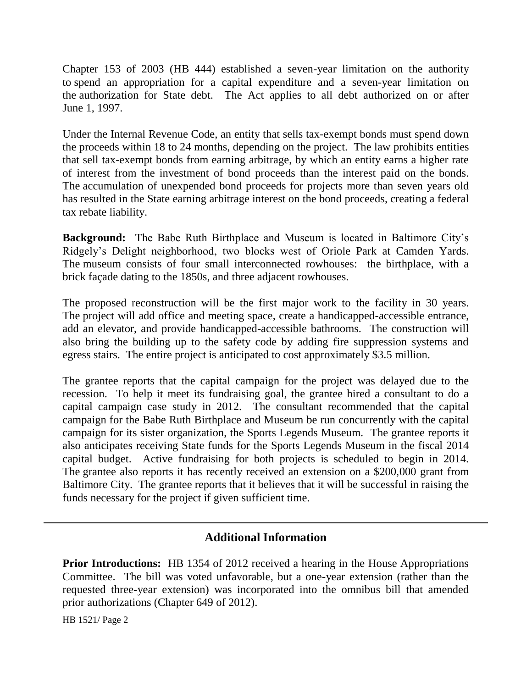Chapter 153 of 2003 (HB 444) established a seven-year limitation on the authority to spend an appropriation for a capital expenditure and a seven-year limitation on the authorization for State debt. The Act applies to all debt authorized on or after June 1, 1997.

Under the Internal Revenue Code, an entity that sells tax-exempt bonds must spend down the proceeds within 18 to 24 months, depending on the project. The law prohibits entities that sell tax-exempt bonds from earning arbitrage, by which an entity earns a higher rate of interest from the investment of bond proceeds than the interest paid on the bonds. The accumulation of unexpended bond proceeds for projects more than seven years old has resulted in the State earning arbitrage interest on the bond proceeds, creating a federal tax rebate liability.

**Background:** The Babe Ruth Birthplace and Museum is located in Baltimore City's Ridgely's Delight neighborhood, two blocks west of Oriole Park at Camden Yards. The museum consists of four small interconnected rowhouses: the birthplace, with a brick façade dating to the 1850s, and three adjacent rowhouses.

The proposed reconstruction will be the first major work to the facility in 30 years. The project will add office and meeting space, create a handicapped-accessible entrance, add an elevator, and provide handicapped-accessible bathrooms. The construction will also bring the building up to the safety code by adding fire suppression systems and egress stairs. The entire project is anticipated to cost approximately \$3.5 million.

The grantee reports that the capital campaign for the project was delayed due to the recession. To help it meet its fundraising goal, the grantee hired a consultant to do a capital campaign case study in 2012. The consultant recommended that the capital campaign for the Babe Ruth Birthplace and Museum be run concurrently with the capital campaign for its sister organization, the Sports Legends Museum. The grantee reports it also anticipates receiving State funds for the Sports Legends Museum in the fiscal 2014 capital budget. Active fundraising for both projects is scheduled to begin in 2014. The grantee also reports it has recently received an extension on a \$200,000 grant from Baltimore City. The grantee reports that it believes that it will be successful in raising the funds necessary for the project if given sufficient time.

## **Additional Information**

**Prior Introductions:** HB 1354 of 2012 received a hearing in the House Appropriations Committee. The bill was voted unfavorable, but a one-year extension (rather than the requested three-year extension) was incorporated into the omnibus bill that amended prior authorizations (Chapter 649 of 2012).

HB 1521/ Page 2